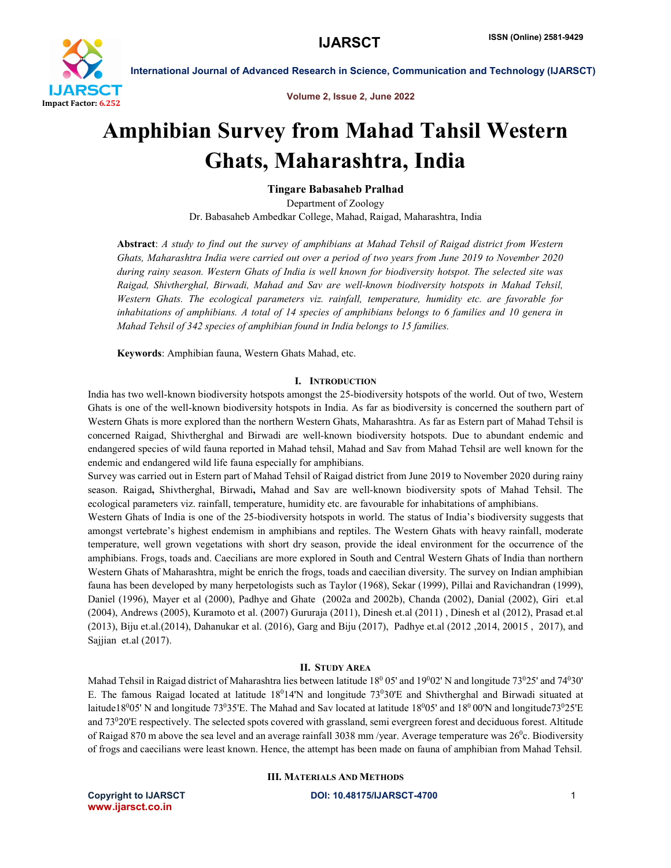

Volume 2, Issue 2, June 2022

# Amphibian Survey from Mahad Tahsil Western Ghats, Maharashtra, India

Tingare Babasaheb Pralhad

Department of Zoology Dr. Babasaheb Ambedkar College, Mahad, Raigad, Maharashtra, India

Abstract: *A study to find out the survey of amphibians at Mahad Tehsil of Raigad district from Western Ghats, Maharashtra India were carried out over a period of two years from June 2019 to November 2020 during rainy season. Western Ghats of India is well known for biodiversity hotspot. The selected site was Raigad, Shivtherghal, Birwadi, Mahad and Sav are well-known biodiversity hotspots in Mahad Tehsil, Western Ghats. The ecological parameters viz. rainfall, temperature, humidity etc. are favorable for inhabitations of amphibians. A total of 14 species of amphibians belongs to 6 families and 10 genera in Mahad Tehsil of 342 species of amphibian found in India belongs to 15 families.*

Keywords: Amphibian fauna, Western Ghats Mahad, etc.

# I. INTRODUCTION

India has two well-known biodiversity hotspots amongst the 25-biodiversity hotspots of the world. Out of two, Western Ghats is one of the well-known biodiversity hotspots in India. As far as biodiversity is concerned the southern part of Western Ghats is more explored than the northern Western Ghats, Maharashtra. As far as Estern part of Mahad Tehsil is concerned Raigad, Shivtherghal and Birwadi are well-known biodiversity hotspots. Due to abundant endemic and endangered species of wild fauna reported in Mahad tehsil, Mahad and Sav from Mahad Tehsil are well known for the endemic and endangered wild life fauna especially for amphibians.

Survey was carried out in Estern part of Mahad Tehsil of Raigad district from June 2019 to November 2020 during rainy season. Raigad, Shivtherghal, Birwadi, Mahad and Sav are well-known biodiversity spots of Mahad Tehsil. The ecological parameters viz. rainfall, temperature, humidity etc. are favourable for inhabitations of amphibians.

Western Ghats of India is one of the 25-biodiversity hotspots in world. The status of India's biodiversity suggests that amongst vertebrate's highest endemism in amphibians and reptiles. The Western Ghats with heavy rainfall, moderate temperature, well grown vegetations with short dry season, provide the ideal environment for the occurrence of the amphibians. Frogs, toads and. Caecilians are more explored in South and Central Western Ghats of India than northern Western Ghats of Maharashtra, might be enrich the frogs, toads and caecilian diversity. The survey on Indian amphibian fauna has been developed by many herpetologists such as Taylor (1968), Sekar (1999), Pillai and Ravichandran (1999), Daniel (1996), Mayer et al (2000), Padhye and Ghate (2002a and 2002b), Chanda (2002), Danial (2002), Giri et.al (2004), Andrews (2005), Kuramoto et al. (2007) Gururaja (2011), Dinesh et.al (2011) , Dinesh et al (2012), Prasad et.al (2013), Biju et.al.(2014), Dahanukar et al. (2016), Garg and Biju (2017), Padhye et.al (2012 ,2014, 20015 , 2017), and Sajjian et.al (2017).

# II. STUDY AREA

Mahad Tehsil in Raigad district of Maharashtra lies between latitude  $18^0$  05' and  $19^0$ 02' N and longitude 73<sup>0</sup>25' and 74<sup>0</sup>30' E. The famous Raigad located at latitude 18<sup>0</sup>14'N and longitude 73<sup>0</sup>30'E and Shivtherghal and Birwadi situated at laitude18<sup>0</sup>05' N and longitude 73<sup>0</sup>35'E. The Mahad and Sav located at latitude 18<sup>0</sup>05' and 18<sup>0</sup> 00'N and longitude73<sup>0</sup>25'E and 73020'E respectively. The selected spots covered with grassland, semi evergreen forest and deciduous forest. Altitude of Raigad 870 m above the sea level and an average rainfall 3038 mm/year. Average temperature was  $26^{\circ}$ c. Biodiversity of frogs and caecilians were least known. Hence, the attempt has been made on fauna of amphibian from Mahad Tehsil.

# III. MATERIALS AND METHODS

www.ijarsct.co.in

### Copyright to IJARSCT **DOI: 10.48175/IJARSCT-4700** 1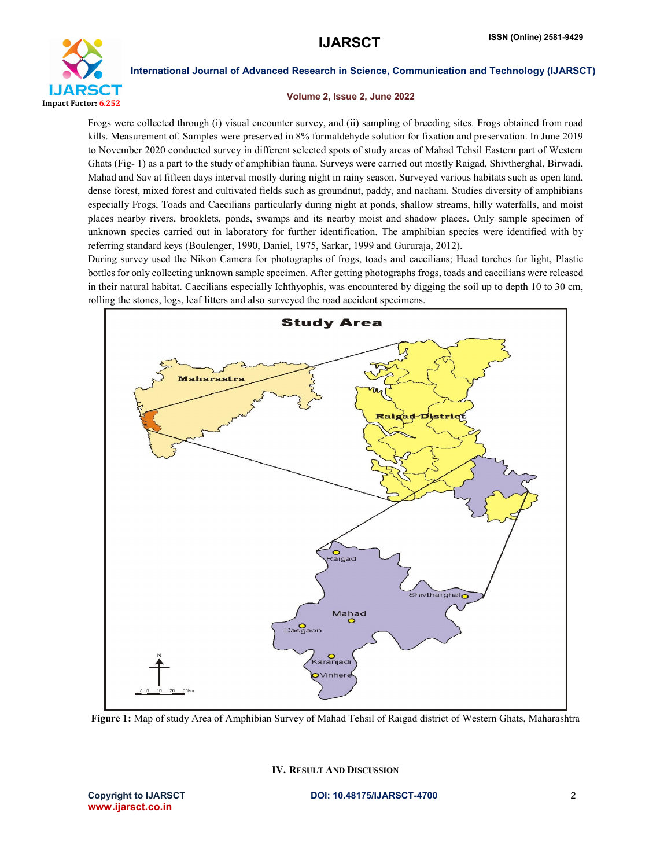

# Volume 2, Issue 2, June 2022

Frogs were collected through (i) visual encounter survey, and (ii) sampling of breeding sites. Frogs obtained from road kills. Measurement of. Samples were preserved in 8% formaldehyde solution for fixation and preservation. In June 2019 to November 2020 conducted survey in different selected spots of study areas of Mahad Tehsil Eastern part of Western Ghats (Fig- 1) as a part to the study of amphibian fauna. Surveys were carried out mostly Raigad, Shivtherghal, Birwadi, Mahad and Sav at fifteen days interval mostly during night in rainy season. Surveyed various habitats such as open land, dense forest, mixed forest and cultivated fields such as groundnut, paddy, and nachani. Studies diversity of amphibians especially Frogs, Toads and Caecilians particularly during night at ponds, shallow streams, hilly waterfalls, and moist places nearby rivers, brooklets, ponds, swamps and its nearby moist and shadow places. Only sample specimen of unknown species carried out in laboratory for further identification. The amphibian species were identified with by referring standard keys (Boulenger, 1990, Daniel, 1975, Sarkar, 1999 and Gururaja, 2012).

During survey used the Nikon Camera for photographs of frogs, toads and caecilians; Head torches for light, Plastic bottles for only collecting unknown sample specimen. After getting photographs frogs, toads and caecilians were released in their natural habitat. Caecilians especially Ichthyophis, was encountered by digging the soil up to depth 10 to 30 cm, rolling the stones, logs, leaf litters and also surveyed the road accident specimens.



Figure 1: Map of study Area of Amphibian Survey of Mahad Tehsil of Raigad district of Western Ghats, Maharashtra

IV. RESULT AND DISCUSSION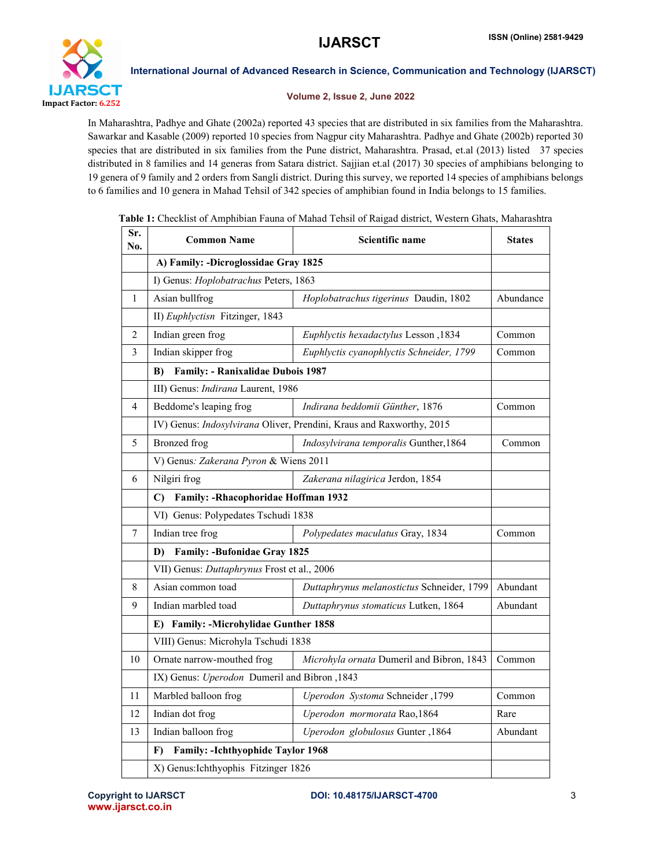

# Volume 2, Issue 2, June 2022

In Maharashtra, Padhye and Ghate (2002a) reported 43 species that are distributed in six families from the Maharashtra. Sawarkar and Kasable (2009) reported 10 species from Nagpur city Maharashtra. Padhye and Ghate (2002b) reported 30 species that are distributed in six families from the Pune district, Maharashtra. Prasad, et.al (2013) listed 37 species distributed in 8 families and 14 generas from Satara district. Sajjian et.al (2017) 30 species of amphibians belonging to 19 genera of 9 family and 2 orders from Sangli district. During this survey, we reported 14 species of amphibians belongs to 6 families and 10 genera in Mahad Tehsil of 342 species of amphibian found in India belongs to 15 families.

| Sr.<br>No.   | <b>Common Name</b>                                                   | Scientific name                            | <b>States</b> |  |
|--------------|----------------------------------------------------------------------|--------------------------------------------|---------------|--|
|              | A) Family: -Dicroglossidae Gray 1825                                 |                                            |               |  |
|              | I) Genus: Hoplobatrachus Peters, 1863                                |                                            |               |  |
| $\mathbf{1}$ | Asian bullfrog                                                       | Hoplobatrachus tigerinus Daudin, 1802      | Abundance     |  |
|              | II) Euphlyctisn Fitzinger, 1843                                      |                                            |               |  |
| 2            | Indian green frog                                                    | Euphlyctis hexadactylus Lesson, 1834       | Common        |  |
| 3            | Indian skipper frog                                                  | Euphlyctis cyanophlyctis Schneider, 1799   | Common        |  |
|              | <b>Family: - Ranixalidae Dubois 1987</b><br>B)                       |                                            |               |  |
|              | III) Genus: Indirana Laurent, 1986                                   |                                            |               |  |
| 4            | Beddome's leaping frog                                               | Indirana beddomii Günther, 1876            | Common        |  |
|              | IV) Genus: Indosylvirana Oliver, Prendini, Kraus and Raxworthy, 2015 |                                            |               |  |
| 5            | Bronzed frog                                                         | Indosylvirana temporalis Gunther, 1864     | Common        |  |
|              | V) Genus: Zakerana Pyron & Wiens 2011                                |                                            |               |  |
| 6            | Nilgiri frog                                                         | Zakerana nilagirica Jerdon, 1854           |               |  |
|              | Family: -Rhacophoridae Hoffman 1932<br>C)                            |                                            |               |  |
|              | VI) Genus: Polypedates Tschudi 1838                                  |                                            |               |  |
| 7            | Indian tree frog                                                     | Polypedates maculatus Gray, 1834           | Common        |  |
|              | <b>Family: -Bufonidae Gray 1825</b><br>D)                            |                                            |               |  |
|              | VII) Genus: Duttaphrynus Frost et al., 2006                          |                                            |               |  |
| 8            | Asian common toad                                                    | Duttaphrynus melanostictus Schneider, 1799 | Abundant      |  |
| 9            | Indian marbled toad                                                  | Duttaphrynus stomaticus Lutken, 1864       | Abundant      |  |
|              | E) Family: -Microhylidae Gunther 1858                                |                                            |               |  |
|              | VIII) Genus: Microhyla Tschudi 1838                                  |                                            |               |  |
| 10           | Ornate narrow-mouthed frog                                           | Microhyla ornata Dumeril and Bibron, 1843  | Common        |  |
|              | IX) Genus: Uperodon Dumeril and Bibron, 1843                         |                                            |               |  |
| 11           | Marbled balloon frog                                                 | Uperodon Systoma Schneider, 1799           | Common        |  |
| 12           | Indian dot frog                                                      | Uperodon mormorata Rao, 1864               | Rare          |  |
| 13           | Indian balloon frog                                                  | Uperodon globulosus Gunter, 1864           | Abundant      |  |
|              | Family: -Ichthyophide Taylor 1968<br>F)                              |                                            |               |  |
|              | X) Genus: Ichthyophis Fitzinger 1826                                 |                                            |               |  |

Table 1: Checklist of Amphibian Fauna of Mahad Tehsil of Raigad district, Western Ghats, Maharashtra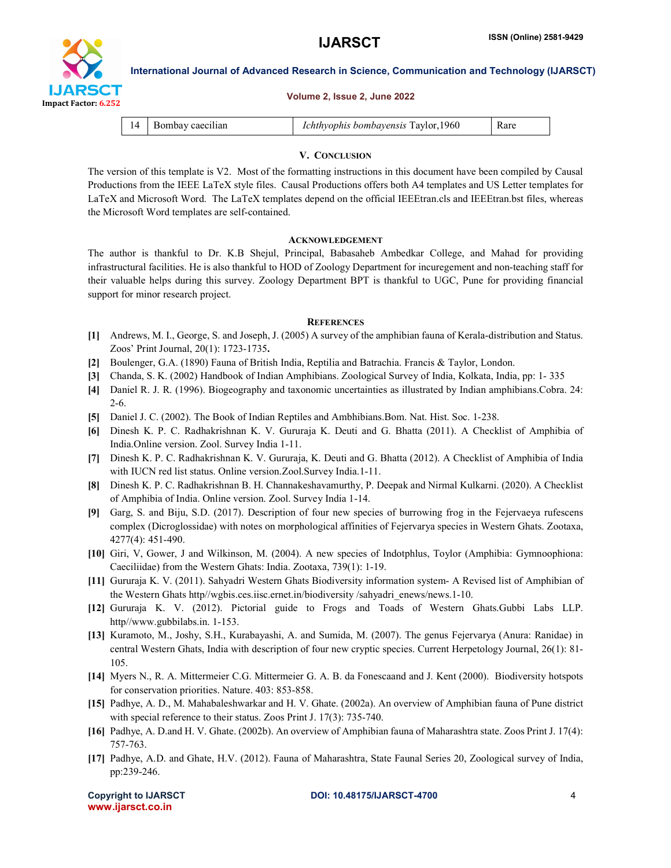

Volume 2, Issue 2, June 2022

International Journal of Advanced Research in Science, Communication and Technology (IJARSCT)

| 14 | Bombay caecilian | Ichthyophis bombayensis Taylor, 1960 | Rare |
|----|------------------|--------------------------------------|------|

#### V. CONCLUSION

The version of this template is V2. Most of the formatting instructions in this document have been compiled by Causal Productions from the IEEE LaTeX style files. Causal Productions offers both A4 templates and US Letter templates for LaTeX and Microsoft Word. The LaTeX templates depend on the official IEEEtran.cls and IEEEtran.bst files, whereas the Microsoft Word templates are self-contained.

#### ACKNOWLEDGEMENT

The author is thankful to Dr. K.B Shejul, Principal, Babasaheb Ambedkar College, and Mahad for providing infrastructural facilities. He is also thankful to HOD of Zoology Department for incuregement and non-teaching staff for their valuable helps during this survey. Zoology Department BPT is thankful to UGC, Pune for providing financial support for minor research project.

#### **REFERENCES**

- [1] Andrews, M. I., George, S. and Joseph, J. (2005) A survey of the amphibian fauna of Kerala-distribution and Status. Zoos' Print Journal, 20(1): 1723-1735.
- [2] Boulenger, G.A. (1890) Fauna of British India, Reptilia and Batrachia. Francis & Taylor, London.
- [3] Chanda, S. K. (2002) Handbook of Indian Amphibians. Zoological Survey of India, Kolkata, India, pp: 1- 335
- [4] Daniel R. J. R. (1996). Biogeography and taxonomic uncertainties as illustrated by Indian amphibians.Cobra. 24: 2-6.
- [5] Daniel J. C. (2002). The Book of Indian Reptiles and Ambhibians.Bom. Nat. Hist. Soc. 1-238.
- [6] Dinesh K. P. C. Radhakrishnan K. V. Gururaja K. Deuti and G. Bhatta (2011). A Checklist of Amphibia of India.Online version. Zool. Survey India 1-11.
- [7] Dinesh K. P. C. Radhakrishnan K. V. Gururaja, K. Deuti and G. Bhatta (2012). A Checklist of Amphibia of India with IUCN red list status. Online version.Zool.Survey India.1-11.
- [8] Dinesh K. P. C. Radhakrishnan B. H. Channakeshavamurthy, P. Deepak and Nirmal Kulkarni. (2020). A Checklist of Amphibia of India. Online version. Zool. Survey India 1-14.
- [9] Garg, S. and Biju, S.D. (2017). Description of four new species of burrowing frog in the Fejervaeya rufescens complex (Dicroglossidae) with notes on morphological affinities of Fejervarya species in Western Ghats. Zootaxa, 4277(4): 451-490.
- [10] Giri, V, Gower, J and Wilkinson, M. (2004). A new species of Indotphlus, Toylor (Amphibia: Gymnoophiona: Caeciliidae) from the Western Ghats: India. Zootaxa, 739(1): 1-19.
- [11] Gururaja K. V. (2011). Sahyadri Western Ghats Biodiversity information system- A Revised list of Amphibian of the Western Ghats http//wgbis.ces.iisc.ernet.in/biodiversity /sahyadri\_enews/news.1-10.
- [12] Gururaja K. V. (2012). Pictorial guide to Frogs and Toads of Western Ghats.Gubbi Labs LLP. http//www.gubbilabs.in. 1-153.
- [13] Kuramoto, M., Joshy, S.H., Kurabayashi, A. and Sumida, M. (2007). The genus Fejervarya (Anura: Ranidae) in central Western Ghats, India with description of four new cryptic species. Current Herpetology Journal, 26(1): 81- 105.
- [14] Myers N., R. A. Mittermeier C.G. Mittermeier G. A. B. da Fonescaand and J. Kent (2000). Biodiversity hotspots for conservation priorities. Nature. 403: 853-858.
- [15] Padhye, A. D., M. Mahabaleshwarkar and H. V. Ghate. (2002a). An overview of Amphibian fauna of Pune district with special reference to their status. Zoos Print J. 17(3): 735-740.
- [16] Padhye, A. D.and H. V. Ghate. (2002b). An overview of Amphibian fauna of Maharashtra state. Zoos Print J. 17(4): 757-763.
- [17] Padhye, A.D. and Ghate, H.V. (2012). Fauna of Maharashtra, State Faunal Series 20, Zoological survey of India, pp:239-246.